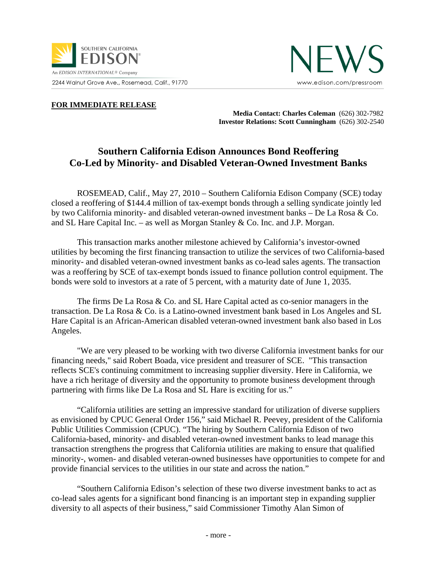



## **FOR IMMEDIATE RELEASE**

**Media Contact: Charles Coleman** (626) 302-7982  **Investor Relations: Scott Cunningham** (626) 302-2540

## **Southern California Edison Announces Bond Reoffering Co-Led by Minority- and Disabled Veteran-Owned Investment Banks**

ROSEMEAD, Calif., May 27, 2010 – Southern California Edison Company (SCE) today closed a reoffering of \$144.4 million of tax-exempt bonds through a selling syndicate jointly led by two California minority- and disabled veteran-owned investment banks – De La Rosa & Co. and SL Hare Capital Inc. – as well as Morgan Stanley & Co. Inc. and J.P. Morgan.

This transaction marks another milestone achieved by California's investor-owned utilities by becoming the first financing transaction to utilize the services of two California-based minority- and disabled veteran-owned investment banks as co-lead sales agents. The transaction was a reoffering by SCE of tax-exempt bonds issued to finance pollution control equipment. The bonds were sold to investors at a rate of 5 percent, with a maturity date of June 1, 2035.

The firms De La Rosa & Co. and SL Hare Capital acted as co-senior managers in the transaction. De La Rosa & Co. is a Latino-owned investment bank based in Los Angeles and SL Hare Capital is an African-American disabled veteran-owned investment bank also based in Los Angeles.

 "We are very pleased to be working with two diverse California investment banks for our financing needs," said Robert Boada, vice president and treasurer of SCE. "This transaction reflects SCE's continuing commitment to increasing supplier diversity. Here in California, we have a rich heritage of diversity and the opportunity to promote business development through partnering with firms like De La Rosa and SL Hare is exciting for us."

"California utilities are setting an impressive standard for utilization of diverse suppliers as envisioned by CPUC General Order 156," said Michael R. Peevey, president of the California Public Utilities Commission (CPUC). "The hiring by Southern California Edison of two California-based, minority- and disabled veteran-owned investment banks to lead manage this transaction strengthens the progress that California utilities are making to ensure that qualified minority-, women- and disabled veteran-owned businesses have opportunities to compete for and provide financial services to the utilities in our state and across the nation."

"Southern California Edison's selection of these two diverse investment banks to act as co-lead sales agents for a significant bond financing is an important step in expanding supplier diversity to all aspects of their business," said Commissioner Timothy Alan Simon of